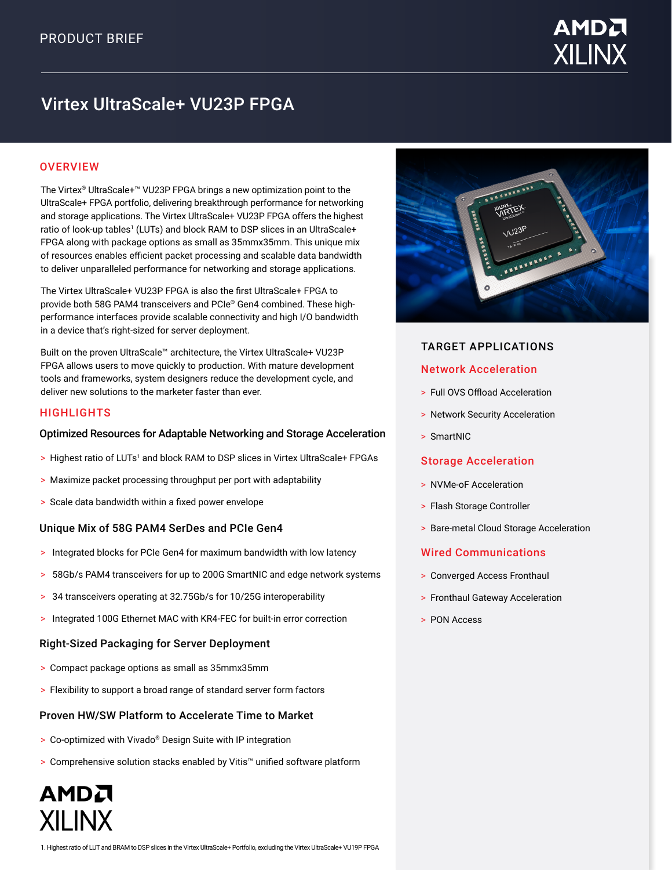

# Virtex UltraScale+ VU23P FPGA

## **OVERVIEW**

The Virtex® UltraScale+™ VU23P FPGA brings a new optimization point to the UltraScale+ FPGA portfolio, delivering breakthrough performance for networking and storage applications. The Virtex UltraScale+ VU23P FPGA offers the highest ratio of look-up tables<sup>1</sup> (LUTs) and block RAM to DSP slices in an UltraScale+ FPGA along with package options as small as 35mmx35mm. This unique mix of resources enables efficient packet processing and scalable data bandwidth to deliver unparalleled performance for networking and storage applications.

The Virtex UltraScale+ VU23P FPGA is also the first UltraScale+ FPGA to provide both 58G PAM4 transceivers and PCIe® Gen4 combined. These highperformance interfaces provide scalable connectivity and high I/O bandwidth in a device that's right-sized for server deployment.

Built on the proven UltraScale™ architecture, the Virtex UltraScale+ VU23P FPGA allows users to move quickly to production. With mature development tools and frameworks, system designers reduce the development cycle, and deliver new solutions to the marketer faster than ever.

#### **HIGHLIGHTS**

AMDA

**XILINX** 

## Optimized Resources for Adaptable Networking and Storage Acceleration

- > Highest ratio of LUTs<sup>1</sup> and block RAM to DSP slices in Virtex UltraScale+ FPGAs
- > Maximize packet processing throughput per port with adaptability
- > Scale data bandwidth within a fixed power envelope

## Unique Mix of 58G PAM4 SerDes and PCIe Gen4

- > Integrated blocks for PCIe Gen4 for maximum bandwidth with low latency
- > 58Gb/s PAM4 transceivers for up to 200G SmartNIC and edge network systems
- > 34 transceivers operating at 32.75Gb/s for 10/25G interoperability
- > Integrated 100G Ethernet MAC with KR4-FEC for built-in error correction

## Right-Sized Packaging for Server Deployment

- > Compact package options as small as 35mmx35mm
- > Flexibility to support a broad range of standard server form factors

## Proven HW/SW Platform to Accelerate Time to Market

- > Co-optimized with Vivado® Design Suite with IP integration
- > Comprehensive solution stacks enabled by Vitis™ unified software platform



## TARGET APPLICATIONS

## Network Acceleration

- > Full OVS Offload Acceleration
- > Network Security Acceleration
- > SmartNIC

## Storage Acceleration

- > NVMe-oF Acceleration
- > Flash Storage Controller
- > Bare-metal Cloud Storage Acceleration

## Wired Communications

- > Converged Access Fronthaul
- > Fronthaul Gateway Acceleration
- > PON Access